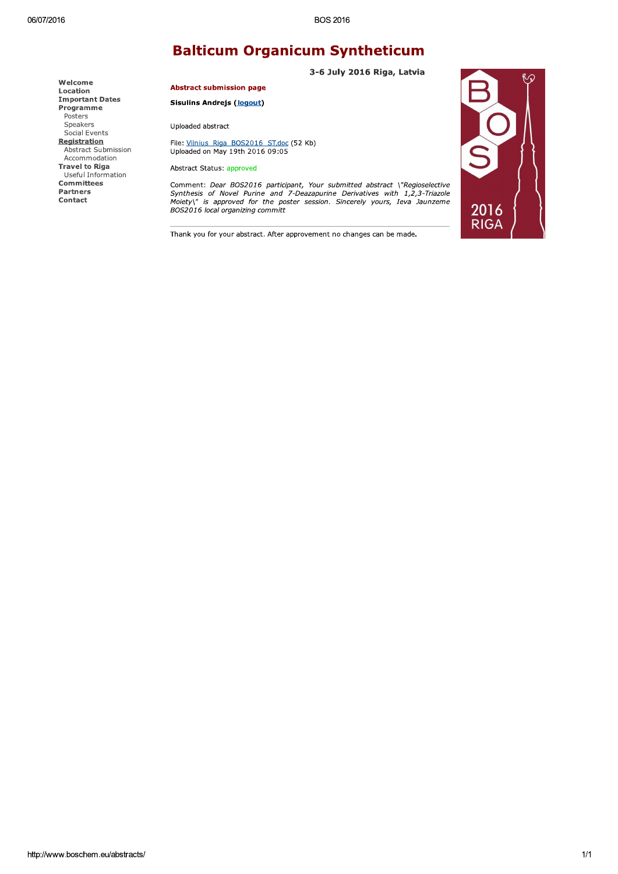## **Balticum Organicum Syntheticum**

**Important Dates** Programme Speakers Social Events

Registration Abstract Submission Accommodation **Travel to Riga** Useful Information Committees Partners Contact

Welcome

Location

Posters

3-6 July 2016 Riga, Latvia

**Abstract submission page** 

**Sisulins Andrejs (logout)** 

Uploaded abstract

File: Vilnius Riga BOS2016 ST.doc (52 Kb) Uploaded on May 19th 2016 09:05

Abstract Status: approved

Comment: Dear BOS2016 participant, Your submitted abstract \"Regioselective<br>Synthesis of Novel Purine and 7-Deazapurine Derivatives with 1,2,3-Triazole<br>Moiety\" is approved for the poster session. Sincerely yours, Ieva Jau BOS2016 local organizing committ



Thank you for your abstract. After approvement no changes can be made.